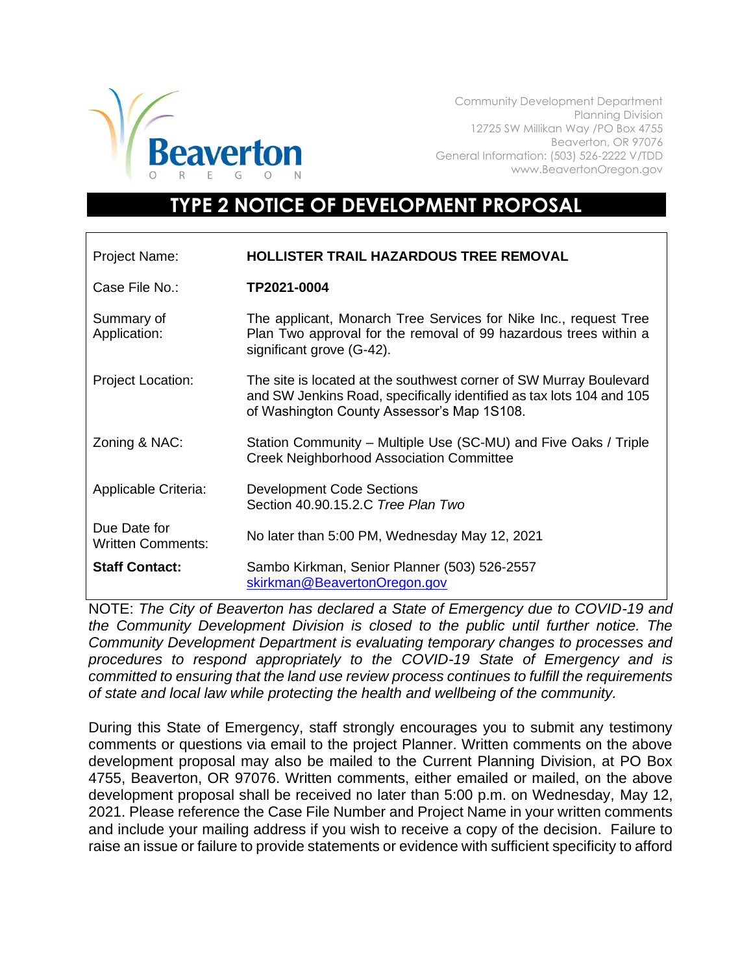

Community Development Department Planning Division 12725 SW Millikan Way /PO Box 4755 Beaverton, OR 97076 General Information: (503) 526-2222 V/TDD www.BeavertonOregon.gov

## **TYPE 2 NOTICE OF DEVELOPMENT PROPOSAL**

| Project Name:                            | <b>HOLLISTER TRAIL HAZARDOUS TREE REMOVAL</b>                                                                                                                                            |
|------------------------------------------|------------------------------------------------------------------------------------------------------------------------------------------------------------------------------------------|
| Case File No.:                           | TP2021-0004                                                                                                                                                                              |
| Summary of<br>Application:               | The applicant, Monarch Tree Services for Nike Inc., request Tree<br>Plan Two approval for the removal of 99 hazardous trees within a<br>significant grove (G-42).                        |
| <b>Project Location:</b>                 | The site is located at the southwest corner of SW Murray Boulevard<br>and SW Jenkins Road, specifically identified as tax lots 104 and 105<br>of Washington County Assessor's Map 1S108. |
| Zoning & NAC:                            | Station Community – Multiple Use (SC-MU) and Five Oaks / Triple<br><b>Creek Neighborhood Association Committee</b>                                                                       |
| Applicable Criteria:                     | <b>Development Code Sections</b><br>Section 40.90.15.2.C Tree Plan Two                                                                                                                   |
| Due Date for<br><b>Written Comments:</b> | No later than 5:00 PM, Wednesday May 12, 2021                                                                                                                                            |
| <b>Staff Contact:</b>                    | Sambo Kirkman, Senior Planner (503) 526-2557<br>skirkman@BeavertonOregon.gov                                                                                                             |

NOTE: *The City of Beaverton has declared a State of Emergency due to COVID-19 and the Community Development Division is closed to the public until further notice. The Community Development Department is evaluating temporary changes to processes and procedures to respond appropriately to the COVID-19 State of Emergency and is committed to ensuring that the land use review process continues to fulfill the requirements of state and local law while protecting the health and wellbeing of the community.*

During this State of Emergency, staff strongly encourages you to submit any testimony comments or questions via email to the project Planner. Written comments on the above development proposal may also be mailed to the Current Planning Division, at PO Box 4755, Beaverton, OR 97076. Written comments, either emailed or mailed, on the above development proposal shall be received no later than 5:00 p.m. on Wednesday, May 12, 2021. Please reference the Case File Number and Project Name in your written comments and include your mailing address if you wish to receive a copy of the decision. Failure to raise an issue or failure to provide statements or evidence with sufficient specificity to afford